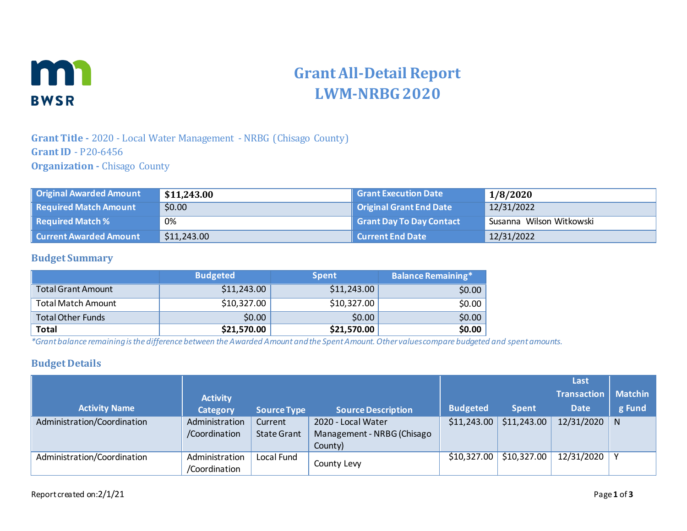

# **Grant All-Detail Report LWM-NRBG 2020**

# **Grant Title -** 2020 - Local Water Management - NRBG (Chisago County) **Grant ID** - P20-6456 **Organization -** Chisago County

| Original Awarded Amount         | \$11,243.00 | Grant Execution Date     | 1/8/2020                 |
|---------------------------------|-------------|--------------------------|--------------------------|
| Required Match Amount           | \$0.00      | Original Grant End Date  | 12/31/2022               |
| $\parallel$ Required Match $\%$ | 0%          | Grant Day To Day Contact | Susanna Wilson Witkowski |
| <b>Current Awarded Amount</b>   | \$11,243.00 | <b>Current End Date</b>  | 12/31/2022               |

#### **Budget Summary**

|                           | <b>Budgeted</b> | Spent       | <b>Balance Remaining*</b> |
|---------------------------|-----------------|-------------|---------------------------|
| <b>Total Grant Amount</b> | \$11,243.00     | \$11,243.00 | \$0.00                    |
| <b>Total Match Amount</b> | \$10,327.00     | \$10,327.00 | \$0.00                    |
| <b>Total Other Funds</b>  | \$0.00          | \$0.00      | \$0.00                    |
| <b>Total</b>              | \$21,570.00     | \$21,570.00 | \$0.00                    |

*\*Grant balance remaining is the difference between the Awarded Amount and the Spent Amount. Other values compare budgeted and spent amounts.*

#### **Budget Details**

|                             |                 |                    |                            |                 |              | Last               |                |
|-----------------------------|-----------------|--------------------|----------------------------|-----------------|--------------|--------------------|----------------|
|                             | <b>Activity</b> |                    |                            |                 |              | <b>Transaction</b> | <b>Matchin</b> |
| <b>Activity Name</b>        | <b>Category</b> | <b>Source Type</b> | <b>Source Description</b>  | <b>Budgeted</b> | <b>Spent</b> | <b>Date</b>        | g Fund         |
| Administration/Coordination | Administration  | Current            | 2020 - Local Water         | \$11,243.00     | \$11,243.00  | 12/31/2020         | N              |
|                             | /Coordination   | <b>State Grant</b> | Management - NRBG (Chisago |                 |              |                    |                |
|                             |                 |                    | County)                    |                 |              |                    |                |
| Administration/Coordination | Administration  | Local Fund         |                            | \$10,327.00     | \$10,327.00  | 12/31/2020         |                |
|                             | /Coordination   |                    | County Levy                |                 |              |                    |                |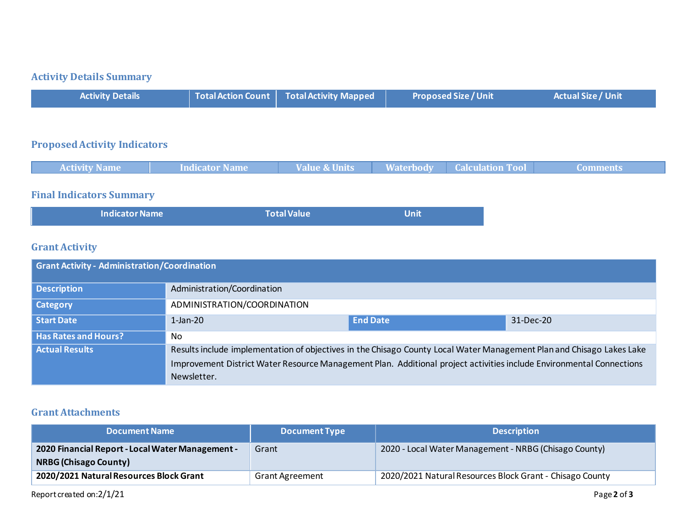# **Activity Details Summary**

|  | <b>Activity Details</b> |  | $\vert$ Total Action Count $\vert$ Total Activity Mapped $\vert$ | <b>Proposed Size / Unit</b> | <b>Actual Size / Unit</b> |
|--|-------------------------|--|------------------------------------------------------------------|-----------------------------|---------------------------|
|--|-------------------------|--|------------------------------------------------------------------|-----------------------------|---------------------------|

## **Proposed Activity Indicators**

|  | <b>Activity Name</b> | Indicator Name | <b>Value &amp; Units</b> | <b>Waterbody</b> | <b>Calculation Tool</b> | Comments |
|--|----------------------|----------------|--------------------------|------------------|-------------------------|----------|
|--|----------------------|----------------|--------------------------|------------------|-------------------------|----------|

# **Final Indicators Summary**

| <b>Indicator Name</b> | <b>Total Value</b> | Unit |
|-----------------------|--------------------|------|
|                       |                    |      |

## **Grant Activity**

| <b>Grant Activity - Administration/Coordination</b> |                                                                                                                       |                                                                                                                      |           |  |
|-----------------------------------------------------|-----------------------------------------------------------------------------------------------------------------------|----------------------------------------------------------------------------------------------------------------------|-----------|--|
| Description                                         | Administration/Coordination                                                                                           |                                                                                                                      |           |  |
| Category                                            | ADMINISTRATION/COORDINATION                                                                                           |                                                                                                                      |           |  |
| Start Date                                          | $1$ -Jan-20                                                                                                           | <b>End Date</b>                                                                                                      | 31-Dec-20 |  |
| <b>Has Rates and Hours?</b>                         | No.                                                                                                                   |                                                                                                                      |           |  |
| <b>Actual Results</b>                               | Results include implementation of objectives in the Chisago County Local Water Management Plan and Chisago Lakes Lake |                                                                                                                      |           |  |
|                                                     | Newsletter.                                                                                                           | Improvement District Water Resource Management Plan. Additional project activities include Environmental Connections |           |  |

## **Grant Attachments**

| <b>Document Name</b>                                                             | <b>Document Type</b>   | <b>Description</b>                                       |
|----------------------------------------------------------------------------------|------------------------|----------------------------------------------------------|
| 2020 Financial Report - Local Water Management -<br><b>NRBG (Chisago County)</b> | Grant                  | 2020 - Local Water Management - NRBG (Chisago County)    |
| 2020/2021 Natural Resources Block Grant                                          | <b>Grant Agreement</b> | 2020/2021 Natural Resources Block Grant - Chisago County |